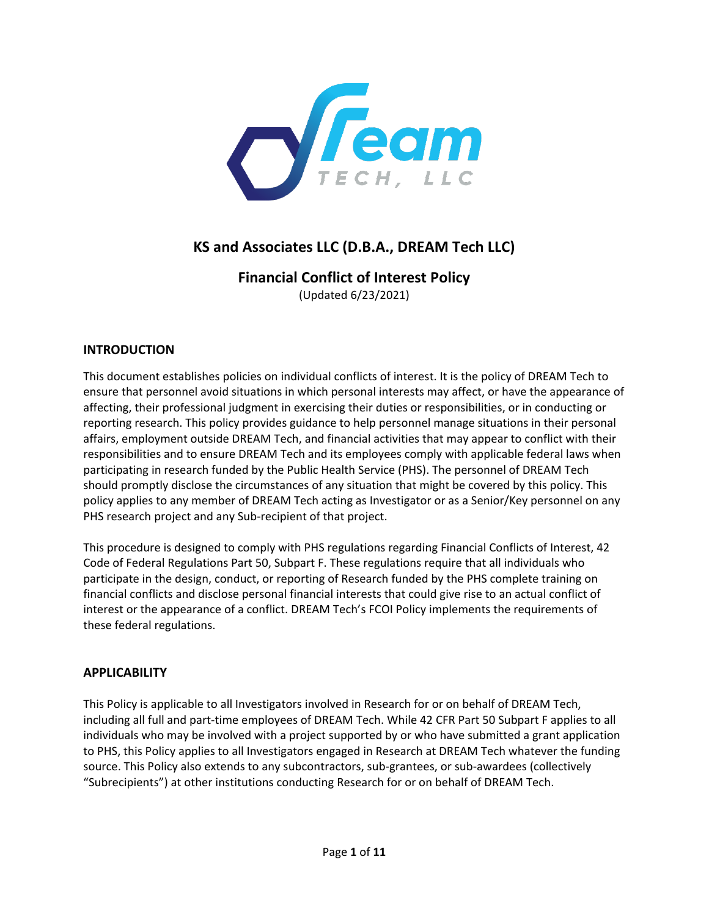

# **KS and Associates LLC (D.B.A., DREAM Tech LLC)**

## **Financial Conflict of Interest Policy**

(Updated 6/23/2021)

## **INTRODUCTION**

This document establishes policies on individual conflicts of interest. It is the policy of DREAM Tech to ensure that personnel avoid situations in which personal interests may affect, or have the appearance of affecting, their professional judgment in exercising their duties or responsibilities, or in conducting or reporting research. This policy provides guidance to help personnel manage situations in their personal affairs, employment outside DREAM Tech, and financial activities that may appear to conflict with their responsibilities and to ensure DREAM Tech and its employees comply with applicable federal laws when participating in research funded by the Public Health Service (PHS). The personnel of DREAM Tech should promptly disclose the circumstances of any situation that might be covered by this policy. This policy applies to any member of DREAM Tech acting as Investigator or as a Senior/Key personnel on any PHS research project and any Sub-recipient of that project.

This procedure is designed to comply with PHS regulations regarding Financial Conflicts of Interest, 42 Code of Federal Regulations Part 50, Subpart F. These regulations require that all individuals who participate in the design, conduct, or reporting of Research funded by the PHS complete training on financial conflicts and disclose personal financial interests that could give rise to an actual conflict of interest or the appearance of a conflict. DREAM Tech's FCOI Policy implements the requirements of these federal regulations.

#### **APPLICABILITY**

This Policy is applicable to all Investigators involved in Research for or on behalf of DREAM Tech, including all full and part-time employees of DREAM Tech. While 42 CFR Part 50 Subpart F applies to all individuals who may be involved with a project supported by or who have submitted a grant application to PHS, this Policy applies to all Investigators engaged in Research at DREAM Tech whatever the funding source. This Policy also extends to any subcontractors, sub-grantees, or sub-awardees (collectively "Subrecipients") at other institutions conducting Research for or on behalf of DREAM Tech.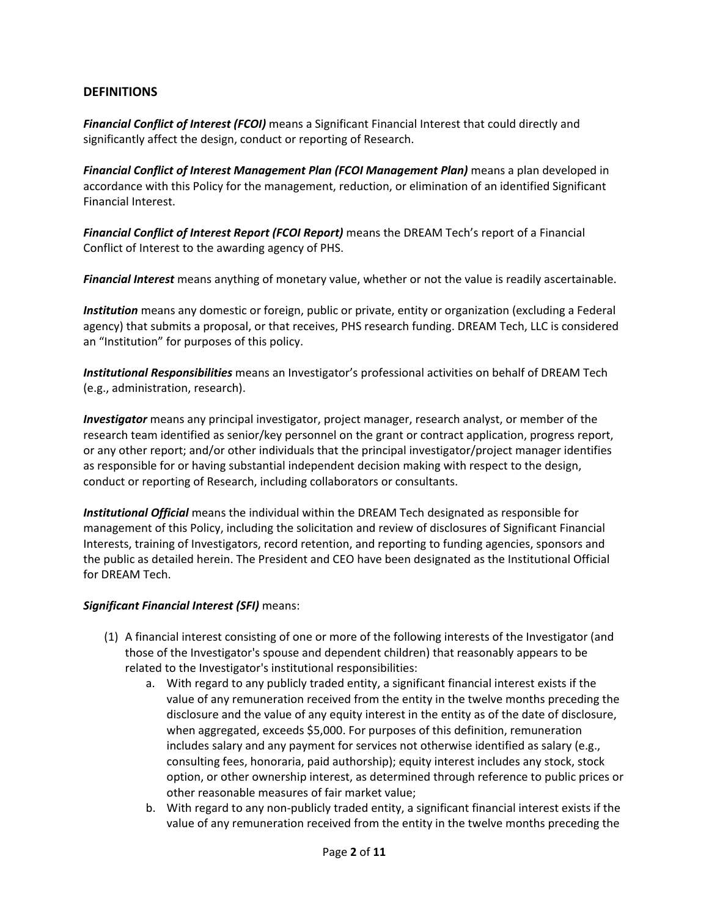#### **DEFINITIONS**

*Financial Conflict of Interest (FCOI)* means a Significant Financial Interest that could directly and significantly affect the design, conduct or reporting of Research.

*Financial Conflict of Interest Management Plan (FCOI Management Plan)* means a plan developed in accordance with this Policy for the management, reduction, or elimination of an identified Significant Financial Interest.

*Financial Conflict of Interest Report (FCOI Report)* means the DREAM Tech's report of a Financial Conflict of Interest to the awarding agency of PHS.

*Financial Interest* means anything of monetary value, whether or not the value is readily ascertainable.

*Institution* means any domestic or foreign, public or private, entity or organization (excluding a Federal agency) that submits a proposal, or that receives, PHS research funding. DREAM Tech, LLC is considered an "Institution" for purposes of this policy.

*Institutional Responsibilities* means an Investigator's professional activities on behalf of DREAM Tech (e.g., administration, research).

*Investigator* means any principal investigator, project manager, research analyst, or member of the research team identified as senior/key personnel on the grant or contract application, progress report, or any other report; and/or other individuals that the principal investigator/project manager identifies as responsible for or having substantial independent decision making with respect to the design, conduct or reporting of Research, including collaborators or consultants.

*Institutional Official* means the individual within the DREAM Tech designated as responsible for management of this Policy, including the solicitation and review of disclosures of Significant Financial Interests, training of Investigators, record retention, and reporting to funding agencies, sponsors and the public as detailed herein. The President and CEO have been designated as the Institutional Official for DREAM Tech.

#### *Significant Financial Interest (SFI)* means:

- (1) A financial interest consisting of one or more of the following interests of the Investigator (and those of the Investigator's spouse and dependent children) that reasonably appears to be related to the Investigator's institutional responsibilities:
	- a. With regard to any publicly traded entity, a significant financial interest exists if the value of any remuneration received from the entity in the twelve months preceding the disclosure and the value of any equity interest in the entity as of the date of disclosure, when aggregated, exceeds \$5,000. For purposes of this definition, remuneration includes salary and any payment for services not otherwise identified as salary (e.g., consulting fees, honoraria, paid authorship); equity interest includes any stock, stock option, or other ownership interest, as determined through reference to public prices or other reasonable measures of fair market value;
	- b. With regard to any non-publicly traded entity, a significant financial interest exists if the value of any remuneration received from the entity in the twelve months preceding the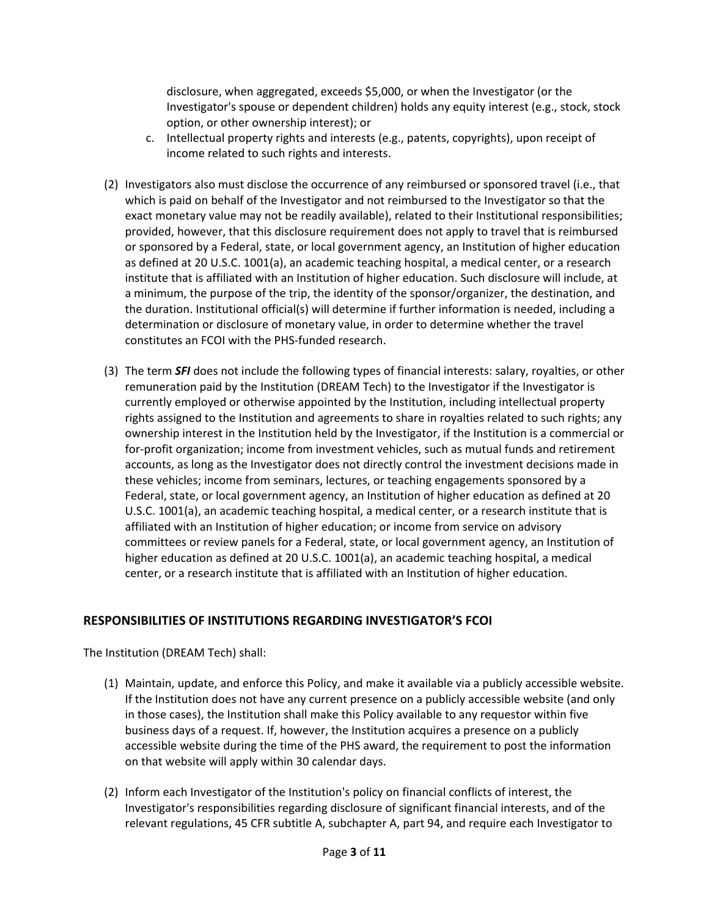disclosure, when aggregated, exceeds \$5,000, or when the Investigator (or the Investigator's spouse or dependent children) holds any equity interest (e.g., stock, stock option, or other ownership interest); or

- c. Intellectual property rights and interests (e.g., patents, copyrights), upon receipt of income related to such rights and interests.
- (2) Investigators also must disclose the occurrence of any reimbursed or sponsored travel (i.e., that which is paid on behalf of the Investigator and not reimbursed to the Investigator so that the exact monetary value may not be readily available), related to their Institutional responsibilities; provided, however, that this disclosure requirement does not apply to travel that is reimbursed or sponsored by a Federal, state, or local government agency, an Institution of higher education as defined at 20 U.S.C. 1001(a), an academic teaching hospital, a medical center, or a research institute that is affiliated with an Institution of higher education. Such disclosure will include, at a minimum, the purpose of the trip, the identity of the sponsor/organizer, the destination, and the duration. Institutional official(s) will determine if further information is needed, including a determination or disclosure of monetary value, in order to determine whether the travel constitutes an FCOI with the PHS-funded research.
- (3) The term *SFI* does not include the following types of financial interests: salary, royalties, or other remuneration paid by the Institution (DREAM Tech) to the Investigator if the Investigator is currently employed or otherwise appointed by the Institution, including intellectual property rights assigned to the Institution and agreements to share in royalties related to such rights; any ownership interest in the Institution held by the Investigator, if the Institution is a commercial or for-profit organization; income from investment vehicles, such as mutual funds and retirement accounts, as long as the Investigator does not directly control the investment decisions made in these vehicles; income from seminars, lectures, or teaching engagements sponsored by a Federal, state, or local government agency, an Institution of higher education as defined at 20 U.S.C. 1001(a), an academic teaching hospital, a medical center, or a research institute that is affiliated with an Institution of higher education; or income from service on advisory committees or review panels for a Federal, state, or local government agency, an Institution of higher education as defined at 20 U.S.C. 1001(a), an academic teaching hospital, a medical center, or a research institute that is affiliated with an Institution of higher education.

## **RESPONSIBILITIES OF INSTITUTIONS REGARDING INVESTIGATOR'S FCOI**

The Institution (DREAM Tech) shall:

- (1) Maintain, update, and enforce this Policy, and make it available via a publicly accessible website. If the Institution does not have any current presence on a publicly accessible website (and only in those cases), the Institution shall make this Policy available to any requestor within five business days of a request. If, however, the Institution acquires a presence on a publicly accessible website during the time of the PHS award, the requirement to post the information on that website will apply within 30 calendar days.
- (2) Inform each Investigator of the Institution's policy on financial conflicts of interest, the Investigator's responsibilities regarding disclosure of significant financial interests, and of the relevant regulations, 45 CFR subtitle A, subchapter A, part 94, and require each Investigator to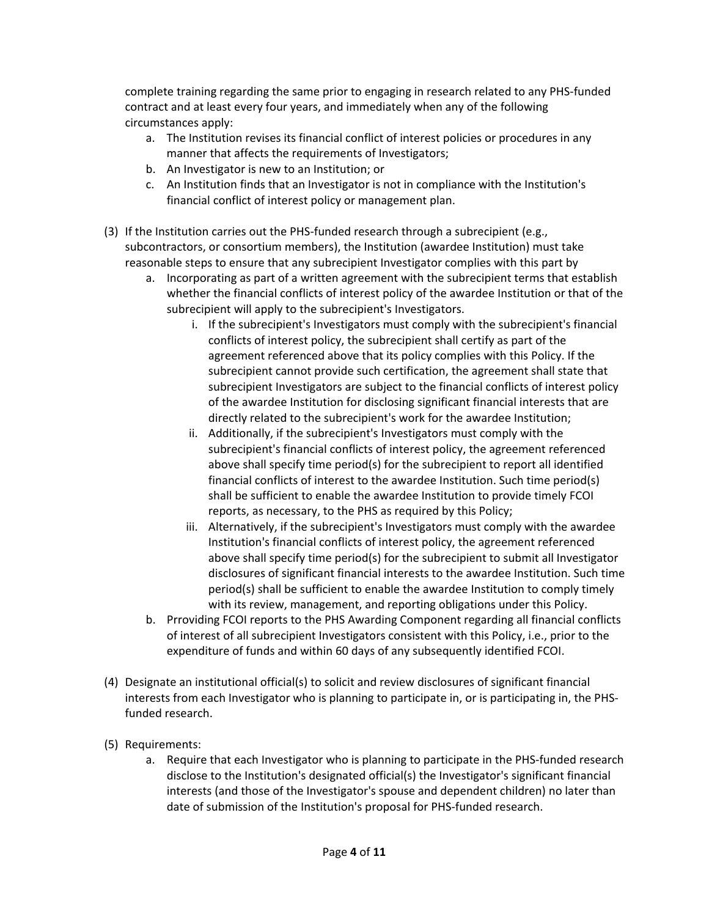complete training regarding the same prior to engaging in research related to any PHS-funded contract and at least every four years, and immediately when any of the following circumstances apply:

- a. The Institution revises its financial conflict of interest policies or procedures in any manner that affects the requirements of Investigators;
- b. An Investigator is new to an Institution; or
- c. An Institution finds that an Investigator is not in compliance with the Institution's financial conflict of interest policy or management plan.
- (3) If the Institution carries out the PHS-funded research through a subrecipient (e.g., subcontractors, or consortium members), the Institution (awardee Institution) must take reasonable steps to ensure that any subrecipient Investigator complies with this part by
	- a. Incorporating as part of a written agreement with the subrecipient terms that establish whether the financial conflicts of interest policy of the awardee Institution or that of the subrecipient will apply to the subrecipient's Investigators.
		- i. If the subrecipient's Investigators must comply with the subrecipient's financial conflicts of interest policy, the subrecipient shall certify as part of the agreement referenced above that its policy complies with this Policy. If the subrecipient cannot provide such certification, the agreement shall state that subrecipient Investigators are subject to the financial conflicts of interest policy of the awardee Institution for disclosing significant financial interests that are directly related to the subrecipient's work for the awardee Institution;
		- ii. Additionally, if the subrecipient's Investigators must comply with the subrecipient's financial conflicts of interest policy, the agreement referenced above shall specify time period(s) for the subrecipient to report all identified financial conflicts of interest to the awardee Institution. Such time period(s) shall be sufficient to enable the awardee Institution to provide timely FCOI reports, as necessary, to the PHS as required by this Policy;
		- iii. Alternatively, if the subrecipient's Investigators must comply with the awardee Institution's financial conflicts of interest policy, the agreement referenced above shall specify time period(s) for the subrecipient to submit all Investigator disclosures of significant financial interests to the awardee Institution. Such time period(s) shall be sufficient to enable the awardee Institution to comply timely with its review, management, and reporting obligations under this Policy.
	- b. Prroviding FCOI reports to the PHS Awarding Component regarding all financial conflicts of interest of all subrecipient Investigators consistent with this Policy, i.e., prior to the expenditure of funds and within 60 days of any subsequently identified FCOI.
- (4) Designate an institutional official(s) to solicit and review disclosures of significant financial interests from each Investigator who is planning to participate in, or is participating in, the PHSfunded research.
- (5) Requirements:
	- a. Require that each Investigator who is planning to participate in the PHS-funded research disclose to the Institution's designated official(s) the Investigator's significant financial interests (and those of the Investigator's spouse and dependent children) no later than date of submission of the Institution's proposal for PHS-funded research.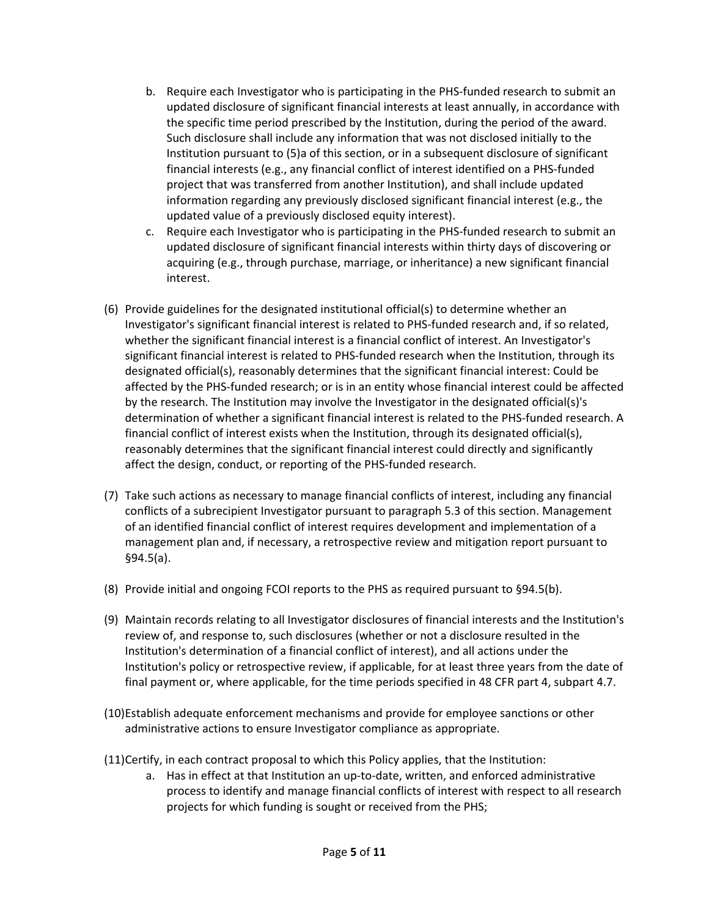- b. Require each Investigator who is participating in the PHS-funded research to submit an updated disclosure of significant financial interests at least annually, in accordance with the specific time period prescribed by the Institution, during the period of the award. Such disclosure shall include any information that was not disclosed initially to the Institution pursuant to (5)a of this section, or in a subsequent disclosure of significant financial interests (e.g., any financial conflict of interest identified on a PHS-funded project that was transferred from another Institution), and shall include updated information regarding any previously disclosed significant financial interest (e.g., the updated value of a previously disclosed equity interest).
- c. Require each Investigator who is participating in the PHS-funded research to submit an updated disclosure of significant financial interests within thirty days of discovering or acquiring (e.g., through purchase, marriage, or inheritance) a new significant financial interest.
- (6) Provide guidelines for the designated institutional official(s) to determine whether an Investigator's significant financial interest is related to PHS-funded research and, if so related, whether the significant financial interest is a financial conflict of interest. An Investigator's significant financial interest is related to PHS-funded research when the Institution, through its designated official(s), reasonably determines that the significant financial interest: Could be affected by the PHS-funded research; or is in an entity whose financial interest could be affected by the research. The Institution may involve the Investigator in the designated official(s)'s determination of whether a significant financial interest is related to the PHS-funded research. A financial conflict of interest exists when the Institution, through its designated official(s), reasonably determines that the significant financial interest could directly and significantly affect the design, conduct, or reporting of the PHS-funded research.
- (7) Take such actions as necessary to manage financial conflicts of interest, including any financial conflicts of a subrecipient Investigator pursuant to paragraph 5.3 of this section. Management of an identified financial conflict of interest requires development and implementation of a management plan and, if necessary, a retrospective review and mitigation report pursuant to §94.5(a).
- (8) Provide initial and ongoing FCOI reports to the PHS as required pursuant to §94.5(b).
- (9) Maintain records relating to all Investigator disclosures of financial interests and the Institution's review of, and response to, such disclosures (whether or not a disclosure resulted in the Institution's determination of a financial conflict of interest), and all actions under the Institution's policy or retrospective review, if applicable, for at least three years from the date of final payment or, where applicable, for the time periods specified in 48 CFR part 4, subpart 4.7.
- (10)Establish adequate enforcement mechanisms and provide for employee sanctions or other administrative actions to ensure Investigator compliance as appropriate.
- (11)Certify, in each contract proposal to which this Policy applies, that the Institution:
	- a. Has in effect at that Institution an up-to-date, written, and enforced administrative process to identify and manage financial conflicts of interest with respect to all research projects for which funding is sought or received from the PHS;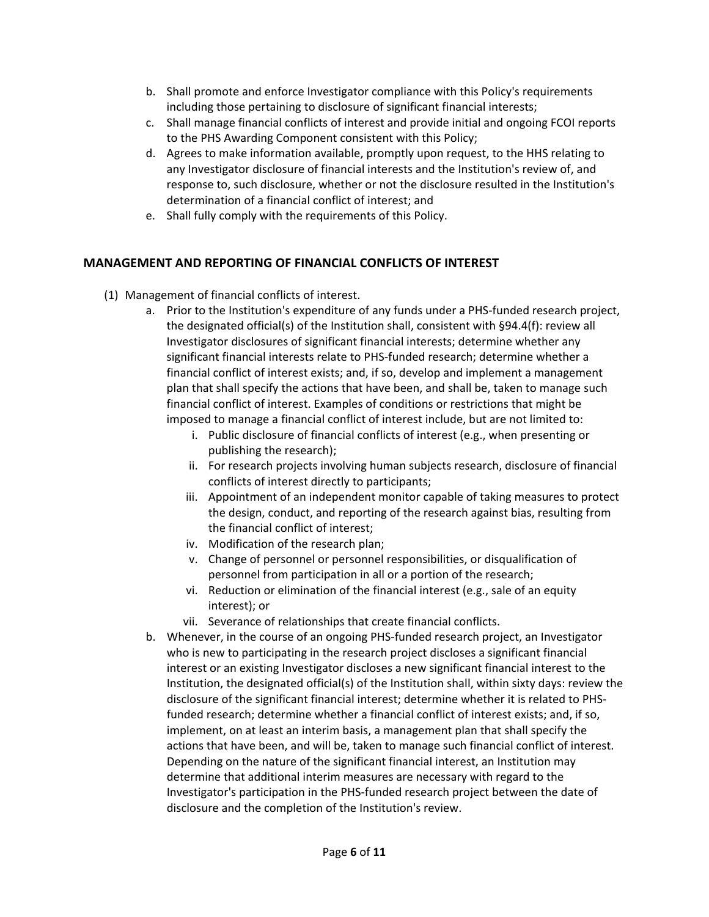- b. Shall promote and enforce Investigator compliance with this Policy's requirements including those pertaining to disclosure of significant financial interests;
- c. Shall manage financial conflicts of interest and provide initial and ongoing FCOI reports to the PHS Awarding Component consistent with this Policy;
- d. Agrees to make information available, promptly upon request, to the HHS relating to any Investigator disclosure of financial interests and the Institution's review of, and response to, such disclosure, whether or not the disclosure resulted in the Institution's determination of a financial conflict of interest; and
- e. Shall fully comply with the requirements of this Policy.

## **MANAGEMENT AND REPORTING OF FINANCIAL CONFLICTS OF INTEREST**

- (1) Management of financial conflicts of interest.
	- a. Prior to the Institution's expenditure of any funds under a PHS-funded research project, the designated official(s) of the Institution shall, consistent with §94.4(f): review all Investigator disclosures of significant financial interests; determine whether any significant financial interests relate to PHS-funded research; determine whether a financial conflict of interest exists; and, if so, develop and implement a management plan that shall specify the actions that have been, and shall be, taken to manage such financial conflict of interest. Examples of conditions or restrictions that might be imposed to manage a financial conflict of interest include, but are not limited to:
		- i. Public disclosure of financial conflicts of interest (e.g., when presenting or publishing the research);
		- ii. For research projects involving human subjects research, disclosure of financial conflicts of interest directly to participants;
		- iii. Appointment of an independent monitor capable of taking measures to protect the design, conduct, and reporting of the research against bias, resulting from the financial conflict of interest;
		- iv. Modification of the research plan;
		- v. Change of personnel or personnel responsibilities, or disqualification of personnel from participation in all or a portion of the research;
		- vi. Reduction or elimination of the financial interest (e.g., sale of an equity interest); or
		- vii. Severance of relationships that create financial conflicts.
	- b. Whenever, in the course of an ongoing PHS-funded research project, an Investigator who is new to participating in the research project discloses a significant financial interest or an existing Investigator discloses a new significant financial interest to the Institution, the designated official(s) of the Institution shall, within sixty days: review the disclosure of the significant financial interest; determine whether it is related to PHSfunded research; determine whether a financial conflict of interest exists; and, if so, implement, on at least an interim basis, a management plan that shall specify the actions that have been, and will be, taken to manage such financial conflict of interest. Depending on the nature of the significant financial interest, an Institution may determine that additional interim measures are necessary with regard to the Investigator's participation in the PHS-funded research project between the date of disclosure and the completion of the Institution's review.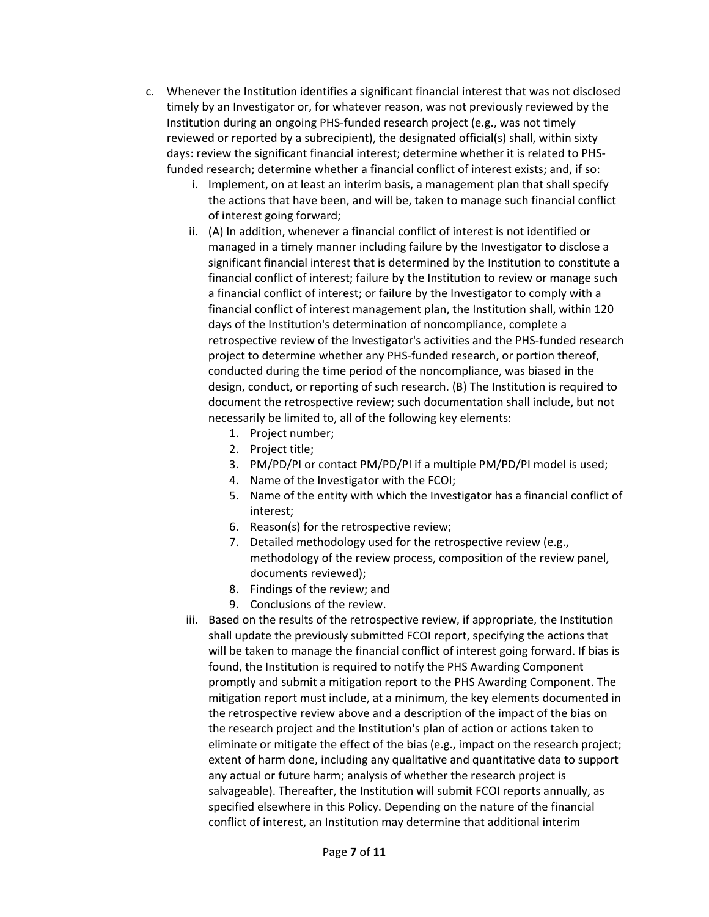- c. Whenever the Institution identifies a significant financial interest that was not disclosed timely by an Investigator or, for whatever reason, was not previously reviewed by the Institution during an ongoing PHS-funded research project (e.g., was not timely reviewed or reported by a subrecipient), the designated official(s) shall, within sixty days: review the significant financial interest; determine whether it is related to PHSfunded research; determine whether a financial conflict of interest exists; and, if so:
	- i. Implement, on at least an interim basis, a management plan that shall specify the actions that have been, and will be, taken to manage such financial conflict of interest going forward;
	- ii. (A) In addition, whenever a financial conflict of interest is not identified or managed in a timely manner including failure by the Investigator to disclose a significant financial interest that is determined by the Institution to constitute a financial conflict of interest; failure by the Institution to review or manage such a financial conflict of interest; or failure by the Investigator to comply with a financial conflict of interest management plan, the Institution shall, within 120 days of the Institution's determination of noncompliance, complete a retrospective review of the Investigator's activities and the PHS-funded research project to determine whether any PHS-funded research, or portion thereof, conducted during the time period of the noncompliance, was biased in the design, conduct, or reporting of such research. (B) The Institution is required to document the retrospective review; such documentation shall include, but not necessarily be limited to, all of the following key elements:
		- 1. Project number;
		- 2. Project title;
		- 3. PM/PD/PI or contact PM/PD/PI if a multiple PM/PD/PI model is used;
		- 4. Name of the Investigator with the FCOI;
		- 5. Name of the entity with which the Investigator has a financial conflict of interest;
		- 6. Reason(s) for the retrospective review;
		- 7. Detailed methodology used for the retrospective review (e.g., methodology of the review process, composition of the review panel, documents reviewed);
		- 8. Findings of the review; and
		- 9. Conclusions of the review.
	- iii. Based on the results of the retrospective review, if appropriate, the Institution shall update the previously submitted FCOI report, specifying the actions that will be taken to manage the financial conflict of interest going forward. If bias is found, the Institution is required to notify the PHS Awarding Component promptly and submit a mitigation report to the PHS Awarding Component. The mitigation report must include, at a minimum, the key elements documented in the retrospective review above and a description of the impact of the bias on the research project and the Institution's plan of action or actions taken to eliminate or mitigate the effect of the bias (e.g., impact on the research project; extent of harm done, including any qualitative and quantitative data to support any actual or future harm; analysis of whether the research project is salvageable). Thereafter, the Institution will submit FCOI reports annually, as specified elsewhere in this Policy. Depending on the nature of the financial conflict of interest, an Institution may determine that additional interim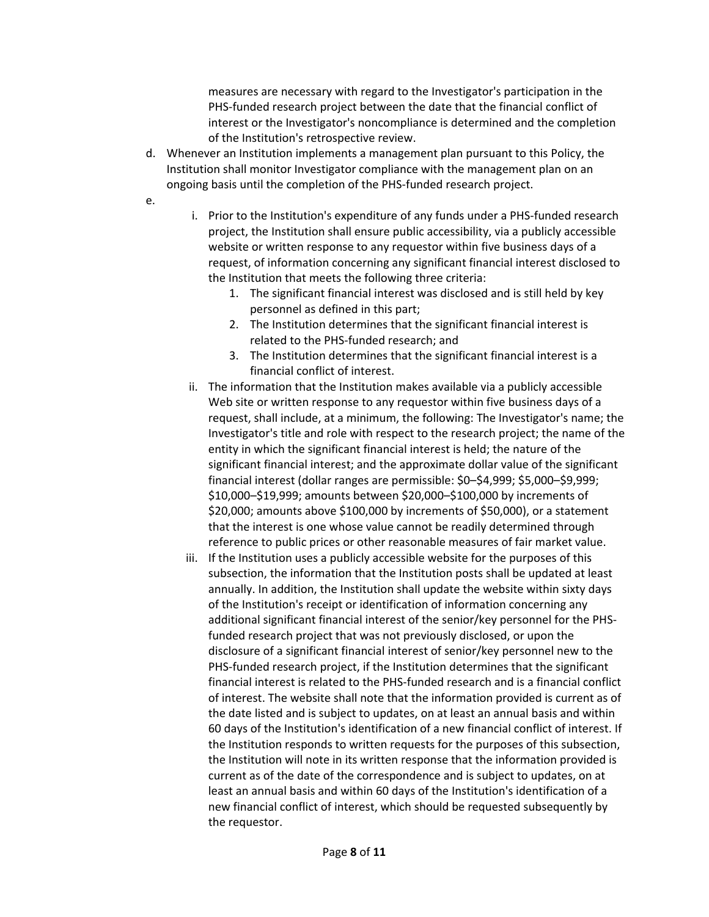measures are necessary with regard to the Investigator's participation in the PHS-funded research project between the date that the financial conflict of interest or the Investigator's noncompliance is determined and the completion of the Institution's retrospective review.

- d. Whenever an Institution implements a management plan pursuant to this Policy, the Institution shall monitor Investigator compliance with the management plan on an ongoing basis until the completion of the PHS-funded research project.
- e.
- i. Prior to the Institution's expenditure of any funds under a PHS-funded research project, the Institution shall ensure public accessibility, via a publicly accessible website or written response to any requestor within five business days of a request, of information concerning any significant financial interest disclosed to the Institution that meets the following three criteria:
	- 1. The significant financial interest was disclosed and is still held by key personnel as defined in this part;
	- 2. The Institution determines that the significant financial interest is related to the PHS-funded research; and
	- 3. The Institution determines that the significant financial interest is a financial conflict of interest.
- ii. The information that the Institution makes available via a publicly accessible Web site or written response to any requestor within five business days of a request, shall include, at a minimum, the following: The Investigator's name; the Investigator's title and role with respect to the research project; the name of the entity in which the significant financial interest is held; the nature of the significant financial interest; and the approximate dollar value of the significant financial interest (dollar ranges are permissible: \$0–\$4,999; \$5,000–\$9,999; \$10,000–\$19,999; amounts between \$20,000–\$100,000 by increments of \$20,000; amounts above \$100,000 by increments of \$50,000), or a statement that the interest is one whose value cannot be readily determined through reference to public prices or other reasonable measures of fair market value.
- iii. If the Institution uses a publicly accessible website for the purposes of this subsection, the information that the Institution posts shall be updated at least annually. In addition, the Institution shall update the website within sixty days of the Institution's receipt or identification of information concerning any additional significant financial interest of the senior/key personnel for the PHSfunded research project that was not previously disclosed, or upon the disclosure of a significant financial interest of senior/key personnel new to the PHS-funded research project, if the Institution determines that the significant financial interest is related to the PHS-funded research and is a financial conflict of interest. The website shall note that the information provided is current as of the date listed and is subject to updates, on at least an annual basis and within 60 days of the Institution's identification of a new financial conflict of interest. If the Institution responds to written requests for the purposes of this subsection, the Institution will note in its written response that the information provided is current as of the date of the correspondence and is subject to updates, on at least an annual basis and within 60 days of the Institution's identification of a new financial conflict of interest, which should be requested subsequently by the requestor.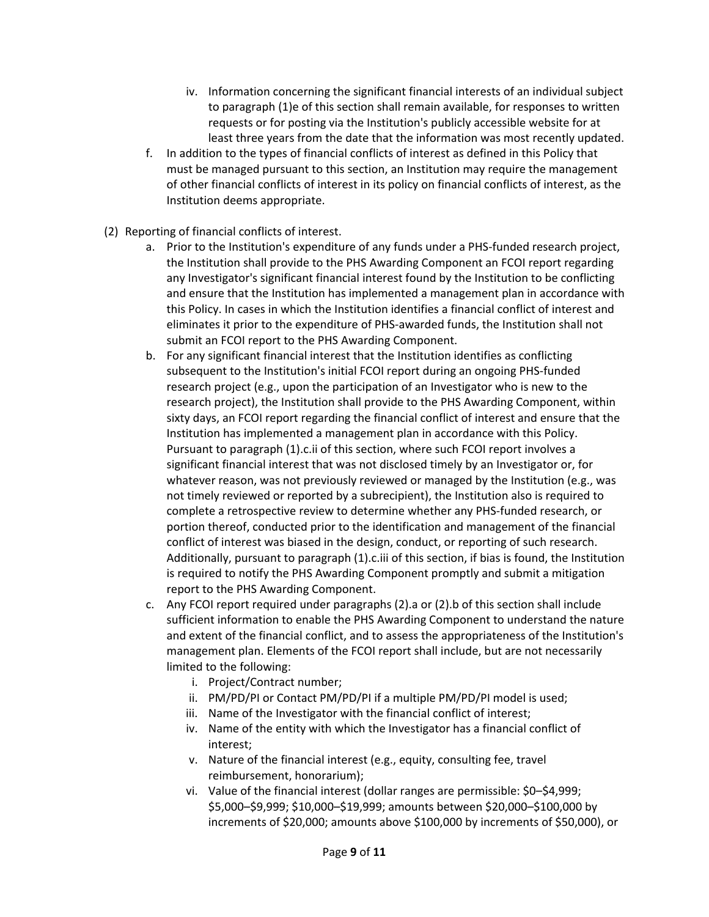- iv. Information concerning the significant financial interests of an individual subject to paragraph (1)e of this section shall remain available, for responses to written requests or for posting via the Institution's publicly accessible website for at least three years from the date that the information was most recently updated.
- f. In addition to the types of financial conflicts of interest as defined in this Policy that must be managed pursuant to this section, an Institution may require the management of other financial conflicts of interest in its policy on financial conflicts of interest, as the Institution deems appropriate.
- (2) Reporting of financial conflicts of interest.
	- a. Prior to the Institution's expenditure of any funds under a PHS-funded research project, the Institution shall provide to the PHS Awarding Component an FCOI report regarding any Investigator's significant financial interest found by the Institution to be conflicting and ensure that the Institution has implemented a management plan in accordance with this Policy. In cases in which the Institution identifies a financial conflict of interest and eliminates it prior to the expenditure of PHS-awarded funds, the Institution shall not submit an FCOI report to the PHS Awarding Component.
	- b. For any significant financial interest that the Institution identifies as conflicting subsequent to the Institution's initial FCOI report during an ongoing PHS-funded research project (e.g., upon the participation of an Investigator who is new to the research project), the Institution shall provide to the PHS Awarding Component, within sixty days, an FCOI report regarding the financial conflict of interest and ensure that the Institution has implemented a management plan in accordance with this Policy. Pursuant to paragraph (1).c.ii of this section, where such FCOI report involves a significant financial interest that was not disclosed timely by an Investigator or, for whatever reason, was not previously reviewed or managed by the Institution (e.g., was not timely reviewed or reported by a subrecipient), the Institution also is required to complete a retrospective review to determine whether any PHS-funded research, or portion thereof, conducted prior to the identification and management of the financial conflict of interest was biased in the design, conduct, or reporting of such research. Additionally, pursuant to paragraph (1).c.iii of this section, if bias is found, the Institution is required to notify the PHS Awarding Component promptly and submit a mitigation report to the PHS Awarding Component.
	- c. Any FCOI report required under paragraphs (2).a or (2).b of this section shall include sufficient information to enable the PHS Awarding Component to understand the nature and extent of the financial conflict, and to assess the appropriateness of the Institution's management plan. Elements of the FCOI report shall include, but are not necessarily limited to the following:
		- i. Project/Contract number;
		- ii. PM/PD/PI or Contact PM/PD/PI if a multiple PM/PD/PI model is used;
		- iii. Name of the Investigator with the financial conflict of interest;
		- iv. Name of the entity with which the Investigator has a financial conflict of interest;
		- v. Nature of the financial interest (e.g., equity, consulting fee, travel reimbursement, honorarium);
		- vi. Value of the financial interest (dollar ranges are permissible: \$0–\$4,999; \$5,000–\$9,999; \$10,000–\$19,999; amounts between \$20,000–\$100,000 by increments of \$20,000; amounts above \$100,000 by increments of \$50,000), or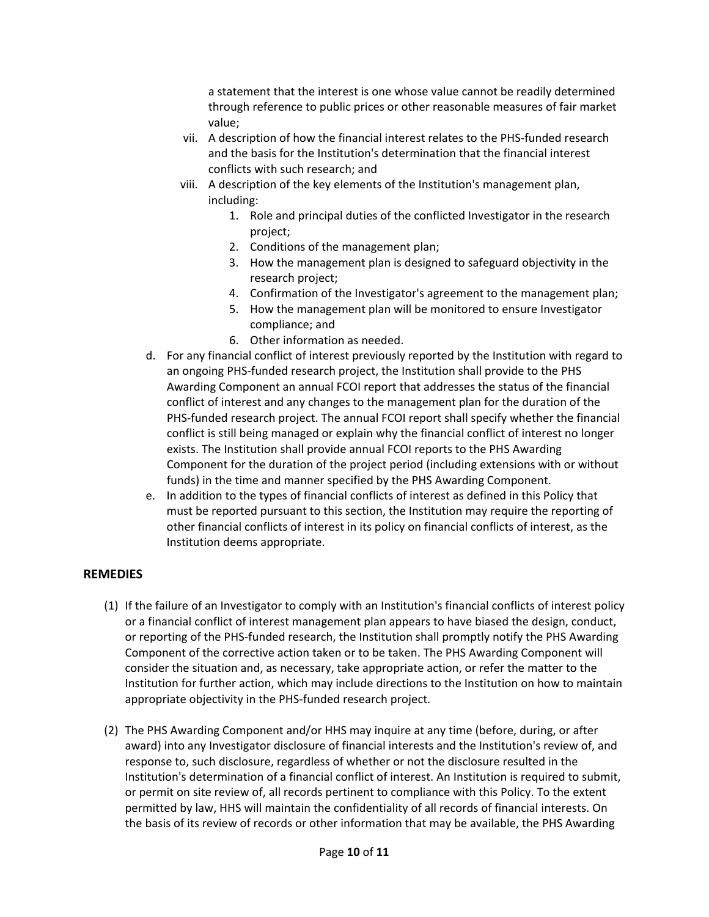a statement that the interest is one whose value cannot be readily determined through reference to public prices or other reasonable measures of fair market value;

- vii. A description of how the financial interest relates to the PHS-funded research and the basis for the Institution's determination that the financial interest conflicts with such research; and
- viii. A description of the key elements of the Institution's management plan, including:
	- 1. Role and principal duties of the conflicted Investigator in the research project;
	- 2. Conditions of the management plan;
	- 3. How the management plan is designed to safeguard objectivity in the research project;
	- 4. Confirmation of the Investigator's agreement to the management plan;
	- 5. How the management plan will be monitored to ensure Investigator compliance; and
	- 6. Other information as needed.
- d. For any financial conflict of interest previously reported by the Institution with regard to an ongoing PHS-funded research project, the Institution shall provide to the PHS Awarding Component an annual FCOI report that addresses the status of the financial conflict of interest and any changes to the management plan for the duration of the PHS-funded research project. The annual FCOI report shall specify whether the financial conflict is still being managed or explain why the financial conflict of interest no longer exists. The Institution shall provide annual FCOI reports to the PHS Awarding Component for the duration of the project period (including extensions with or without funds) in the time and manner specified by the PHS Awarding Component.
- e. In addition to the types of financial conflicts of interest as defined in this Policy that must be reported pursuant to this section, the Institution may require the reporting of other financial conflicts of interest in its policy on financial conflicts of interest, as the Institution deems appropriate.

## **REMEDIES**

- (1) If the failure of an Investigator to comply with an Institution's financial conflicts of interest policy or a financial conflict of interest management plan appears to have biased the design, conduct, or reporting of the PHS-funded research, the Institution shall promptly notify the PHS Awarding Component of the corrective action taken or to be taken. The PHS Awarding Component will consider the situation and, as necessary, take appropriate action, or refer the matter to the Institution for further action, which may include directions to the Institution on how to maintain appropriate objectivity in the PHS-funded research project.
- (2) The PHS Awarding Component and/or HHS may inquire at any time (before, during, or after award) into any Investigator disclosure of financial interests and the Institution's review of, and response to, such disclosure, regardless of whether or not the disclosure resulted in the Institution's determination of a financial conflict of interest. An Institution is required to submit, or permit on site review of, all records pertinent to compliance with this Policy. To the extent permitted by law, HHS will maintain the confidentiality of all records of financial interests. On the basis of its review of records or other information that may be available, the PHS Awarding